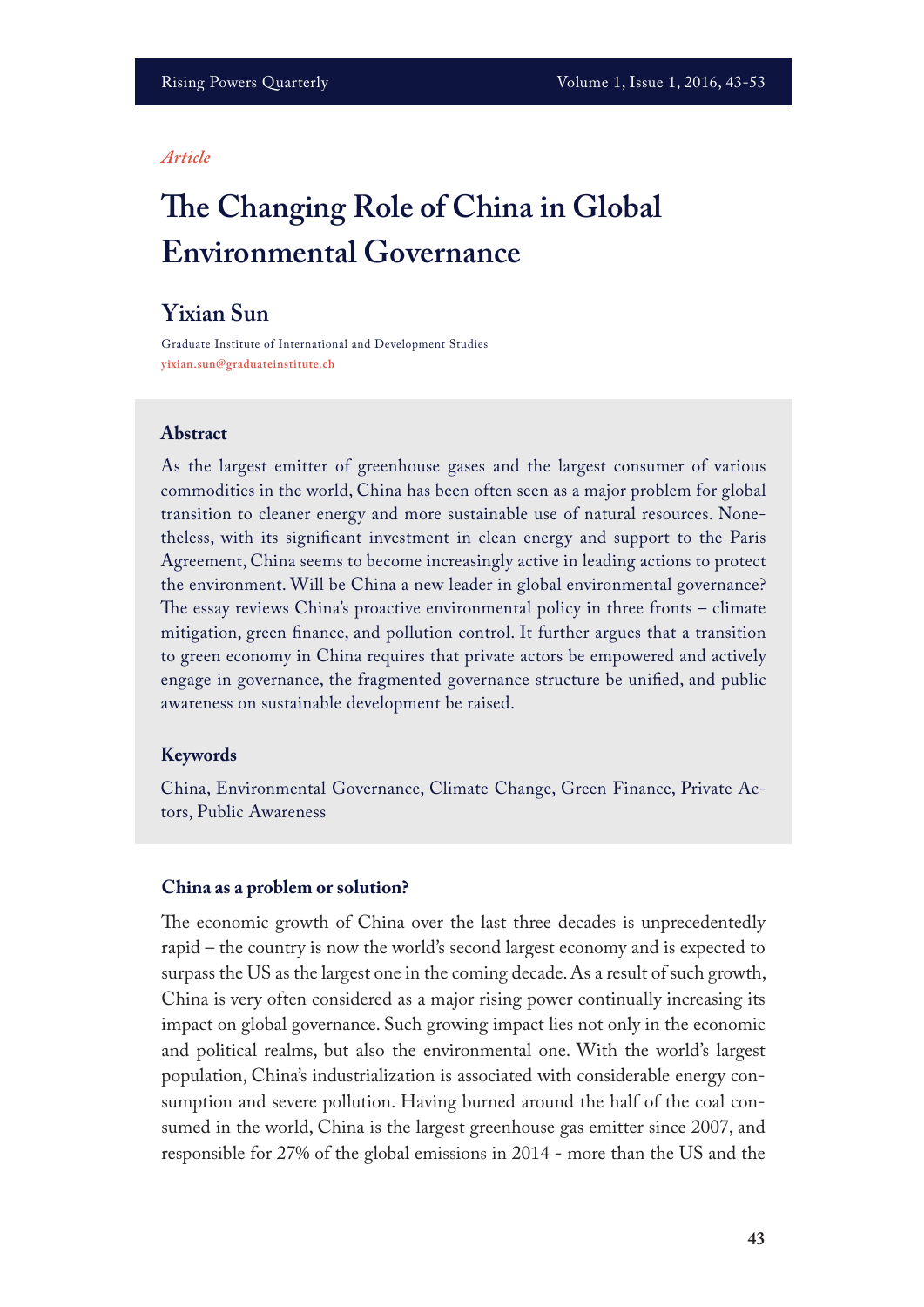#### *Article*

# **Te Changing Role of China in Global Environmental Governance**

## **Yixian Sun**

Graduate Institute of International and Development Studies **yixian.sun@graduateinstitute.ch**

## **Abstract**

As the largest emitter of greenhouse gases and the largest consumer of various commodities in the world, China has been often seen as a major problem for global transition to cleaner energy and more sustainable use of natural resources. Nonetheless, with its signifcant investment in clean energy and support to the Paris Agreement, China seems to become increasingly active in leading actions to protect the environment. Will be China a new leader in global environmental governance? The essay reviews China's proactive environmental policy in three fronts  $-$  climate mitigation, green fnance, and pollution control. It further argues that a transition to green economy in China requires that private actors be empowered and actively engage in governance, the fragmented governance structure be unifed, and public awareness on sustainable development be raised.

## **Keywords**

China, Environmental Governance, Climate Change, Green Finance, Private Actors, Public Awareness

#### **China as a problem or solution?**

The economic growth of China over the last three decades is unprecedentedly rapid – the country is now the world's second largest economy and is expected to surpass the US as the largest one in the coming decade. As a result of such growth, China is very often considered as a major rising power continually increasing its impact on global governance. Such growing impact lies not only in the economic and political realms, but also the environmental one. With the world's largest population, China's industrialization is associated with considerable energy consumption and severe pollution. Having burned around the half of the coal consumed in the world, China is the largest greenhouse gas emitter since 2007, and responsible for 27% of the global emissions in 2014 - more than the US and the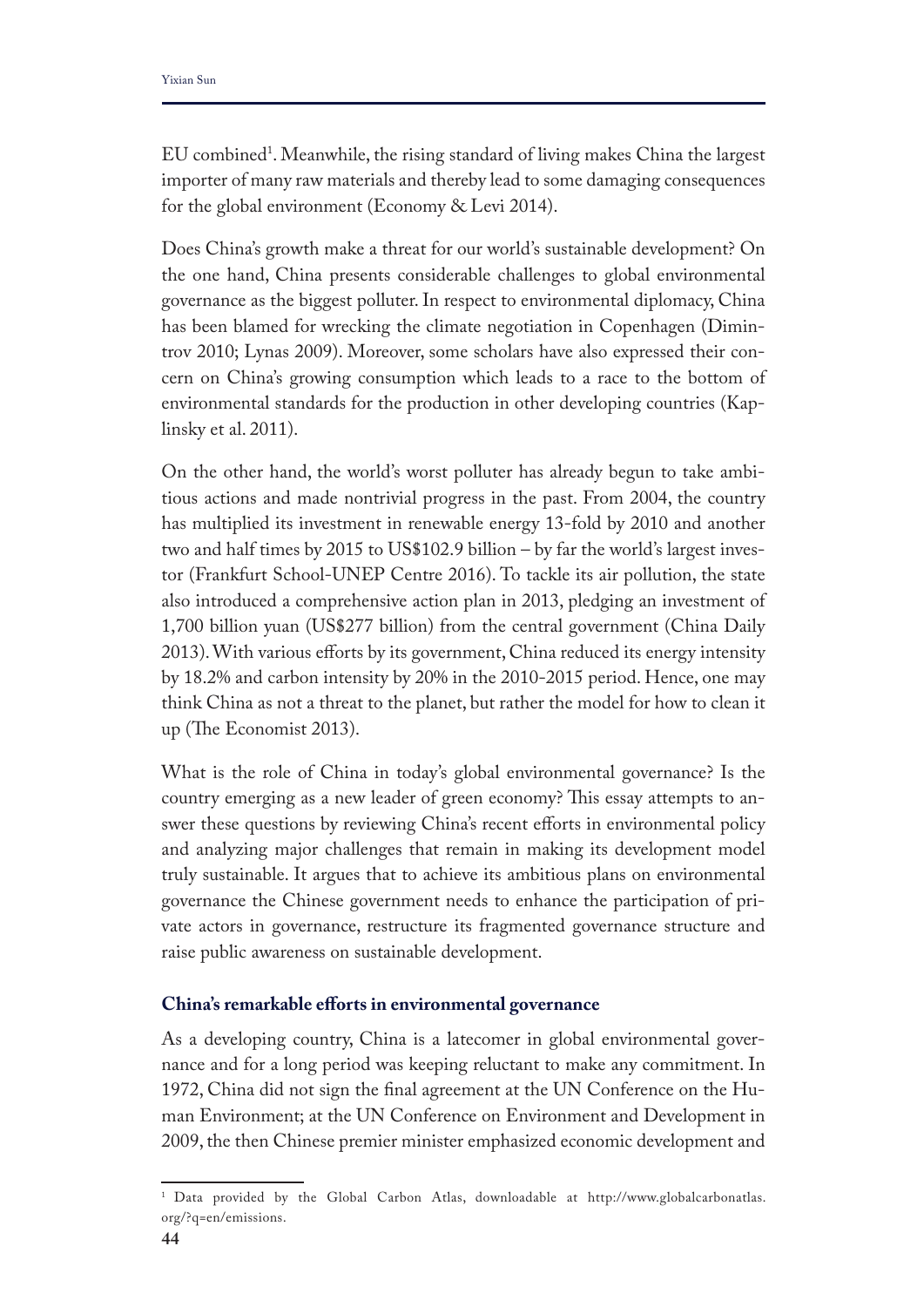EU combined1 . Meanwhile, the rising standard of living makes China the largest importer of many raw materials and thereby lead to some damaging consequences for the global environment (Economy & Levi 2014).

Does China's growth make a threat for our world's sustainable development? On the one hand, China presents considerable challenges to global environmental governance as the biggest polluter. In respect to environmental diplomacy, China has been blamed for wrecking the climate negotiation in Copenhagen (Dimintrov 2010; Lynas 2009). Moreover, some scholars have also expressed their concern on China's growing consumption which leads to a race to the bottom of environmental standards for the production in other developing countries (Kaplinsky et al. 2011).

On the other hand, the world's worst polluter has already begun to take ambitious actions and made nontrivial progress in the past. From 2004, the country has multiplied its investment in renewable energy 13-fold by 2010 and another two and half times by 2015 to US\$102.9 billion – by far the world's largest investor (Frankfurt School-UNEP Centre 2016). To tackle its air pollution, the state also introduced a comprehensive action plan in 2013, pledging an investment of 1,700 billion yuan (US\$277 billion) from the central government (China Daily 2013). With various efforts by its government, China reduced its energy intensity by 18.2% and carbon intensity by 20% in the 2010-2015 period. Hence, one may think China as not a threat to the planet, but rather the model for how to clean it up (The Economist 2013).

What is the role of China in today's global environmental governance? Is the country emerging as a new leader of green economy? This essay attempts to answer these questions by reviewing China's recent efforts in environmental policy and analyzing major challenges that remain in making its development model truly sustainable. It argues that to achieve its ambitious plans on environmental governance the Chinese government needs to enhance the participation of private actors in governance, restructure its fragmented governance structure and raise public awareness on sustainable development.

## **China's remarkable eforts in environmental governance**

As a developing country, China is a latecomer in global environmental governance and for a long period was keeping reluctant to make any commitment. In 1972, China did not sign the fnal agreement at the UN Conference on the Human Environment; at the UN Conference on Environment and Development in 2009, the then Chinese premier minister emphasized economic development and

<sup>1</sup> Data provided by the Global Carbon Atlas, downloadable at http://www.globalcarbonatlas. org/?q=en/emissions.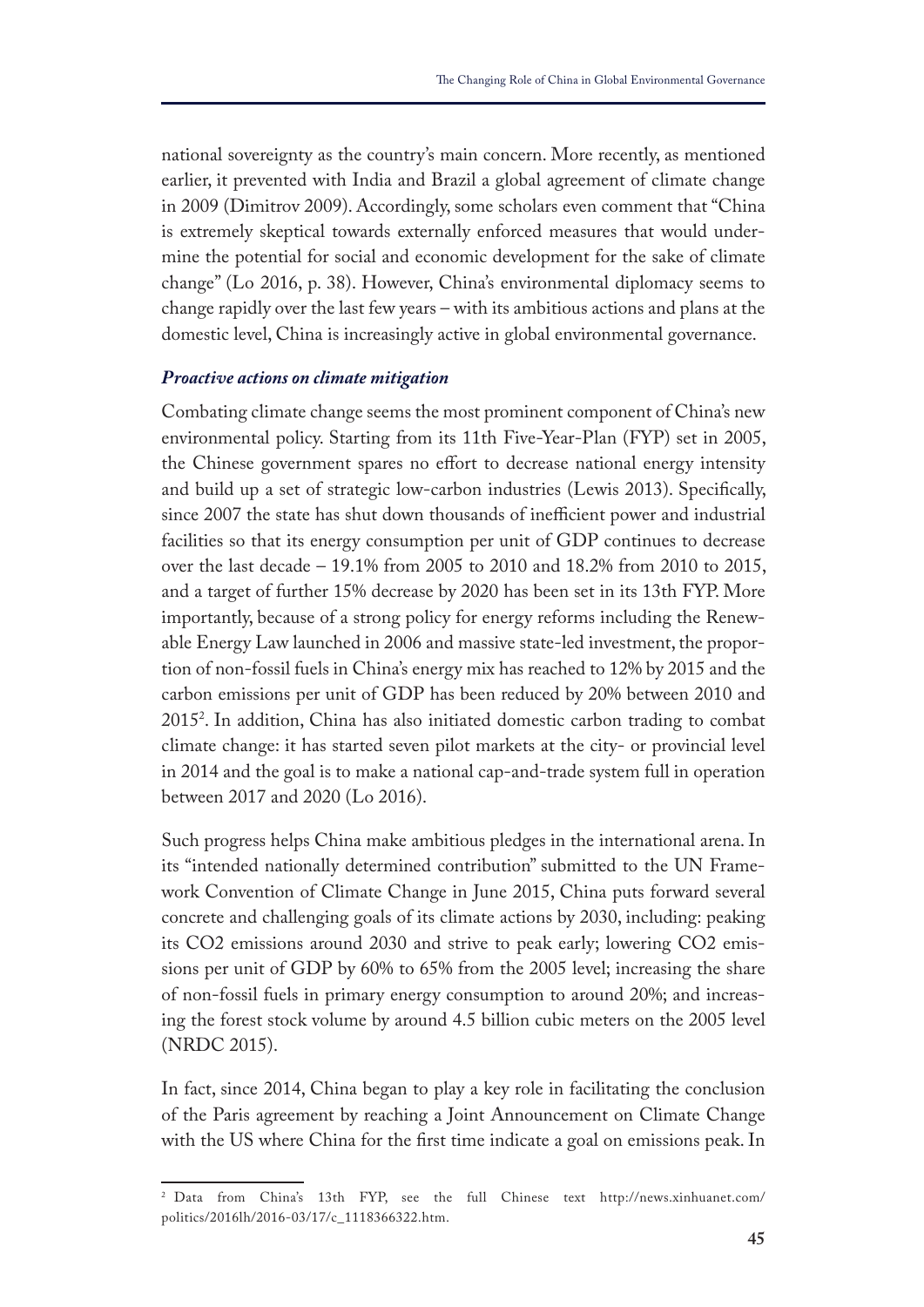national sovereignty as the country's main concern. More recently, as mentioned earlier, it prevented with India and Brazil a global agreement of climate change in 2009 (Dimitrov 2009). Accordingly, some scholars even comment that "China is extremely skeptical towards externally enforced measures that would undermine the potential for social and economic development for the sake of climate change" (Lo 2016, p. 38). However, China's environmental diplomacy seems to change rapidly over the last few years – with its ambitious actions and plans at the domestic level, China is increasingly active in global environmental governance.

#### *Proactive actions on climate mitigation*

Combating climate change seems the most prominent component of China's new environmental policy. Starting from its 11th Five-Year-Plan (FYP) set in 2005, the Chinese government spares no effort to decrease national energy intensity and build up a set of strategic low-carbon industries (Lewis 2013). Specifcally, since 2007 the state has shut down thousands of inefficient power and industrial facilities so that its energy consumption per unit of GDP continues to decrease over the last decade – 19.1% from 2005 to 2010 and 18.2% from 2010 to 2015, and a target of further 15% decrease by 2020 has been set in its 13th FYP. More importantly, because of a strong policy for energy reforms including the Renewable Energy Law launched in 2006 and massive state-led investment, the proportion of non-fossil fuels in China's energy mix has reached to 12% by 2015 and the carbon emissions per unit of GDP has been reduced by 20% between 2010 and 20152 . In addition, China has also initiated domestic carbon trading to combat climate change: it has started seven pilot markets at the city- or provincial level in 2014 and the goal is to make a national cap-and-trade system full in operation between 2017 and 2020 (Lo 2016).

Such progress helps China make ambitious pledges in the international arena. In its "intended nationally determined contribution" submitted to the UN Framework Convention of Climate Change in June 2015, China puts forward several concrete and challenging goals of its climate actions by 2030, including: peaking its CO2 emissions around 2030 and strive to peak early; lowering CO2 emissions per unit of GDP by 60% to 65% from the 2005 level; increasing the share of non-fossil fuels in primary energy consumption to around 20%; and increasing the forest stock volume by around 4.5 billion cubic meters on the 2005 level (NRDC 2015).

In fact, since 2014, China began to play a key role in facilitating the conclusion of the Paris agreement by reaching a Joint Announcement on Climate Change with the US where China for the frst time indicate a goal on emissions peak. In

<sup>2</sup> Data from China's 13th FYP, see the full Chinese text http://news.xinhuanet.com/ politics/2016lh/2016-03/17/c\_1118366322.htm.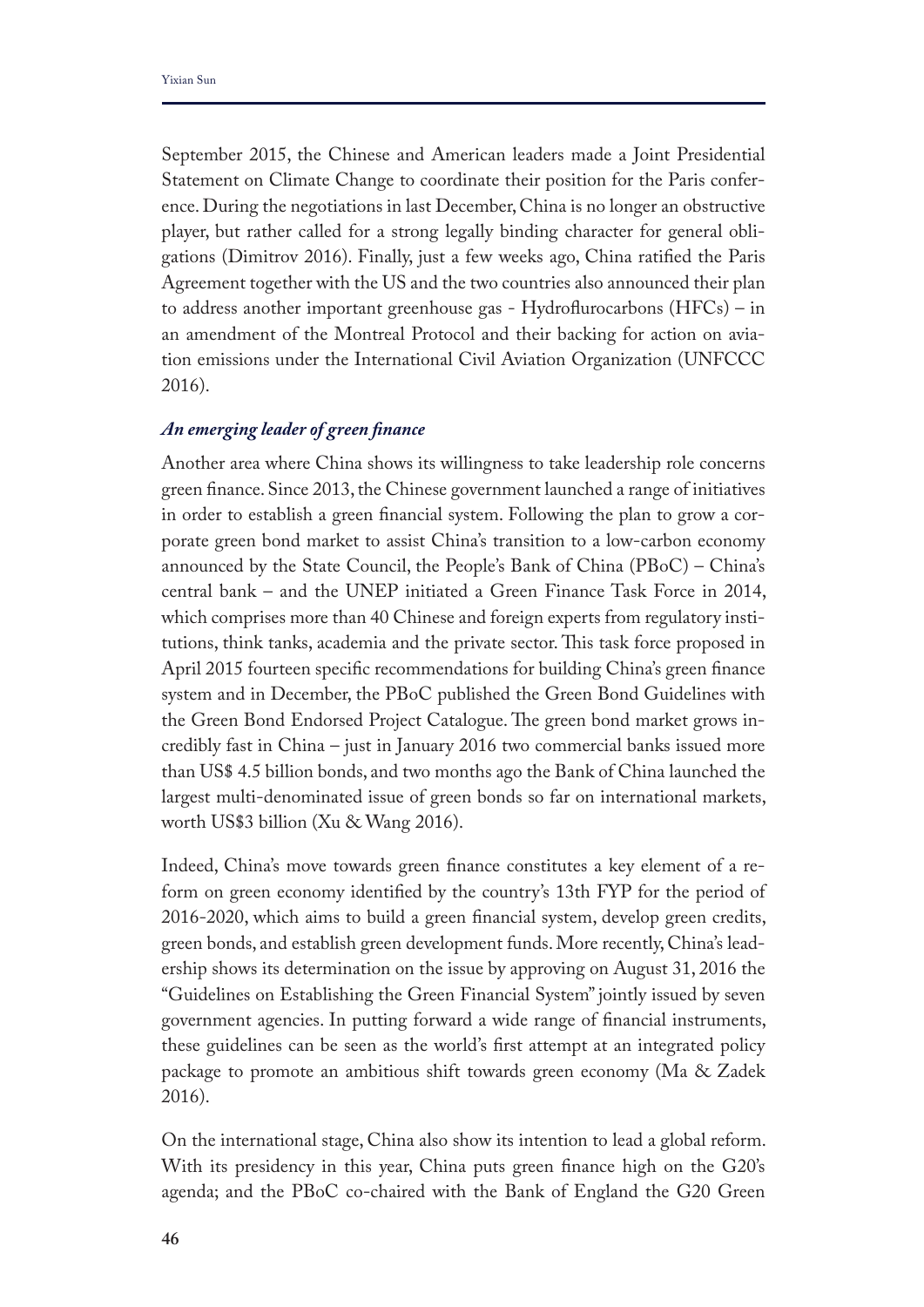September 2015, the Chinese and American leaders made a Joint Presidential Statement on Climate Change to coordinate their position for the Paris conference. During the negotiations in last December, China is no longer an obstructive player, but rather called for a strong legally binding character for general obligations (Dimitrov 2016). Finally, just a few weeks ago, China ratifed the Paris Agreement together with the US and the two countries also announced their plan to address another important greenhouse gas - Hydrofurocarbons (HFCs) – in an amendment of the Montreal Protocol and their backing for action on aviation emissions under the International Civil Aviation Organization (UNFCCC 2016).

## *An emerging leader of green fnance*

Another area where China shows its willingness to take leadership role concerns green fnance. Since 2013, the Chinese government launched a range of initiatives in order to establish a green fnancial system. Following the plan to grow a corporate green bond market to assist China's transition to a low-carbon economy announced by the State Council, the People's Bank of China (PBoC) – China's central bank – and the UNEP initiated a Green Finance Task Force in 2014, which comprises more than 40 Chinese and foreign experts from regulatory institutions, think tanks, academia and the private sector. This task force proposed in April 2015 fourteen specifc recommendations for building China's green fnance system and in December, the PBoC published the Green Bond Guidelines with the Green Bond Endorsed Project Catalogue. The green bond market grows incredibly fast in China – just in January 2016 two commercial banks issued more than US\$ 4.5 billion bonds, and two months ago the Bank of China launched the largest multi-denominated issue of green bonds so far on international markets, worth US\$3 billion (Xu & Wang 2016).

Indeed, China's move towards green fnance constitutes a key element of a reform on green economy identifed by the country's 13th FYP for the period of 2016-2020, which aims to build a green fnancial system, develop green credits, green bonds, and establish green development funds. More recently, China's leadership shows its determination on the issue by approving on August 31, 2016 the "Guidelines on Establishing the Green Financial System" jointly issued by seven government agencies. In putting forward a wide range of fnancial instruments, these guidelines can be seen as the world's frst attempt at an integrated policy package to promote an ambitious shift towards green economy (Ma & Zadek 2016).

On the international stage, China also show its intention to lead a global reform. With its presidency in this year, China puts green fnance high on the G20's agenda; and the PBoC co-chaired with the Bank of England the G20 Green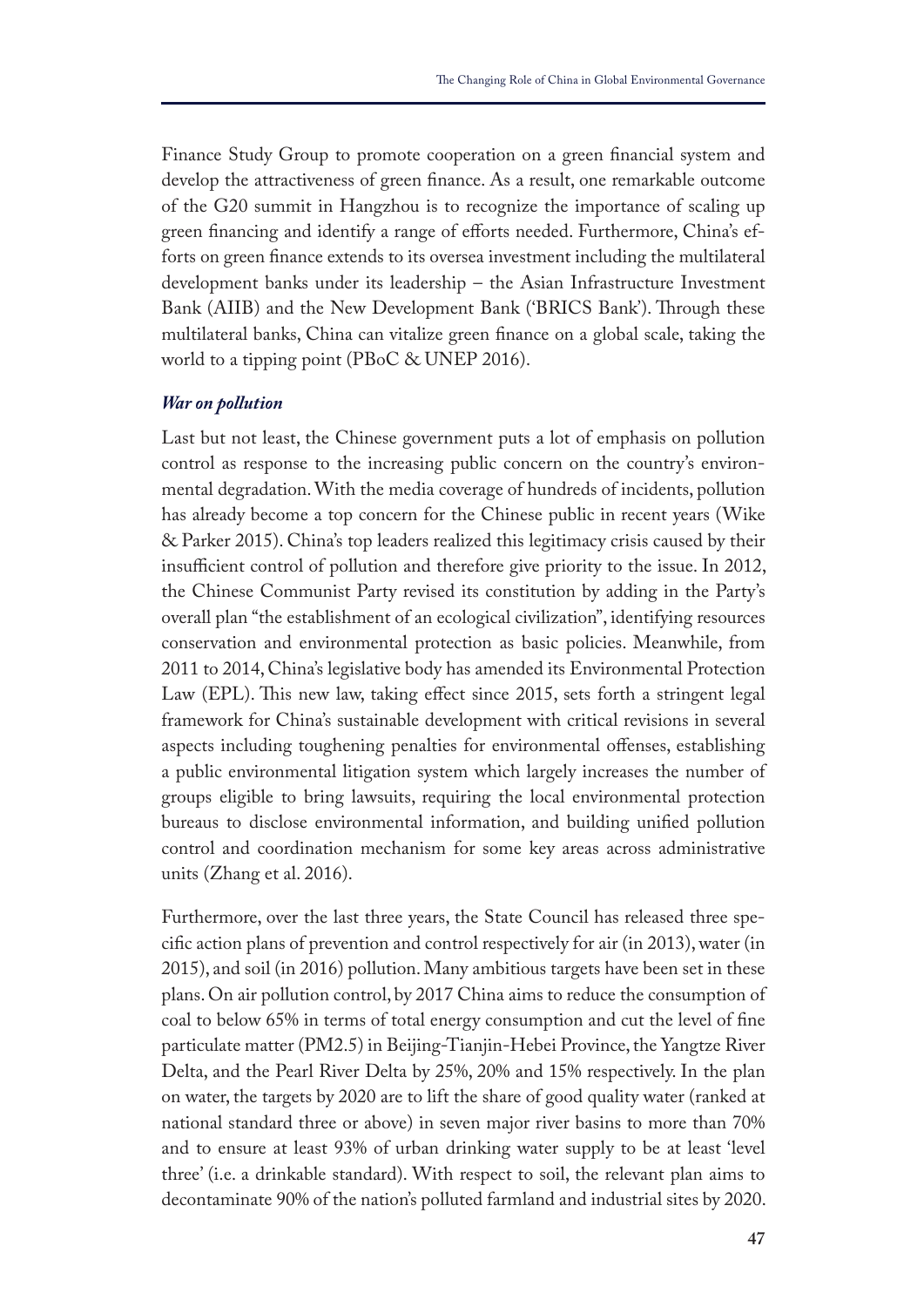Finance Study Group to promote cooperation on a green fnancial system and develop the attractiveness of green fnance. As a result, one remarkable outcome of the G20 summit in Hangzhou is to recognize the importance of scaling up green fnancing and identify a range of eforts needed. Furthermore, China's efforts on green fnance extends to its oversea investment including the multilateral development banks under its leadership – the Asian Infrastructure Investment Bank (AIIB) and the New Development Bank ('BRICS Bank'). Through these multilateral banks, China can vitalize green fnance on a global scale, taking the world to a tipping point (PBoC & UNEP 2016).

#### *War on pollution*

Last but not least, the Chinese government puts a lot of emphasis on pollution control as response to the increasing public concern on the country's environmental degradation. With the media coverage of hundreds of incidents, pollution has already become a top concern for the Chinese public in recent years (Wike & Parker 2015). China's top leaders realized this legitimacy crisis caused by their insufficient control of pollution and therefore give priority to the issue. In 2012, the Chinese Communist Party revised its constitution by adding in the Party's overall plan "the establishment of an ecological civilization", identifying resources conservation and environmental protection as basic policies. Meanwhile, from 2011 to 2014, China's legislative body has amended its Environmental Protection Law (EPL). This new law, taking effect since 2015, sets forth a stringent legal framework for China's sustainable development with critical revisions in several aspects including toughening penalties for environmental ofenses, establishing a public environmental litigation system which largely increases the number of groups eligible to bring lawsuits, requiring the local environmental protection bureaus to disclose environmental information, and building unifed pollution control and coordination mechanism for some key areas across administrative units (Zhang et al. 2016).

Furthermore, over the last three years, the State Council has released three specifc action plans of prevention and control respectively for air (in 2013), water (in 2015), and soil (in 2016) pollution. Many ambitious targets have been set in these plans. On air pollution control, by 2017 China aims to reduce the consumption of coal to below 65% in terms of total energy consumption and cut the level of fne particulate matter (PM2.5) in Beijing-Tianjin-Hebei Province, the Yangtze River Delta, and the Pearl River Delta by 25%, 20% and 15% respectively. In the plan on water, the targets by 2020 are to lift the share of good quality water (ranked at national standard three or above) in seven major river basins to more than 70% and to ensure at least 93% of urban drinking water supply to be at least 'level three' (i.e. a drinkable standard). With respect to soil, the relevant plan aims to decontaminate 90% of the nation's polluted farmland and industrial sites by 2020.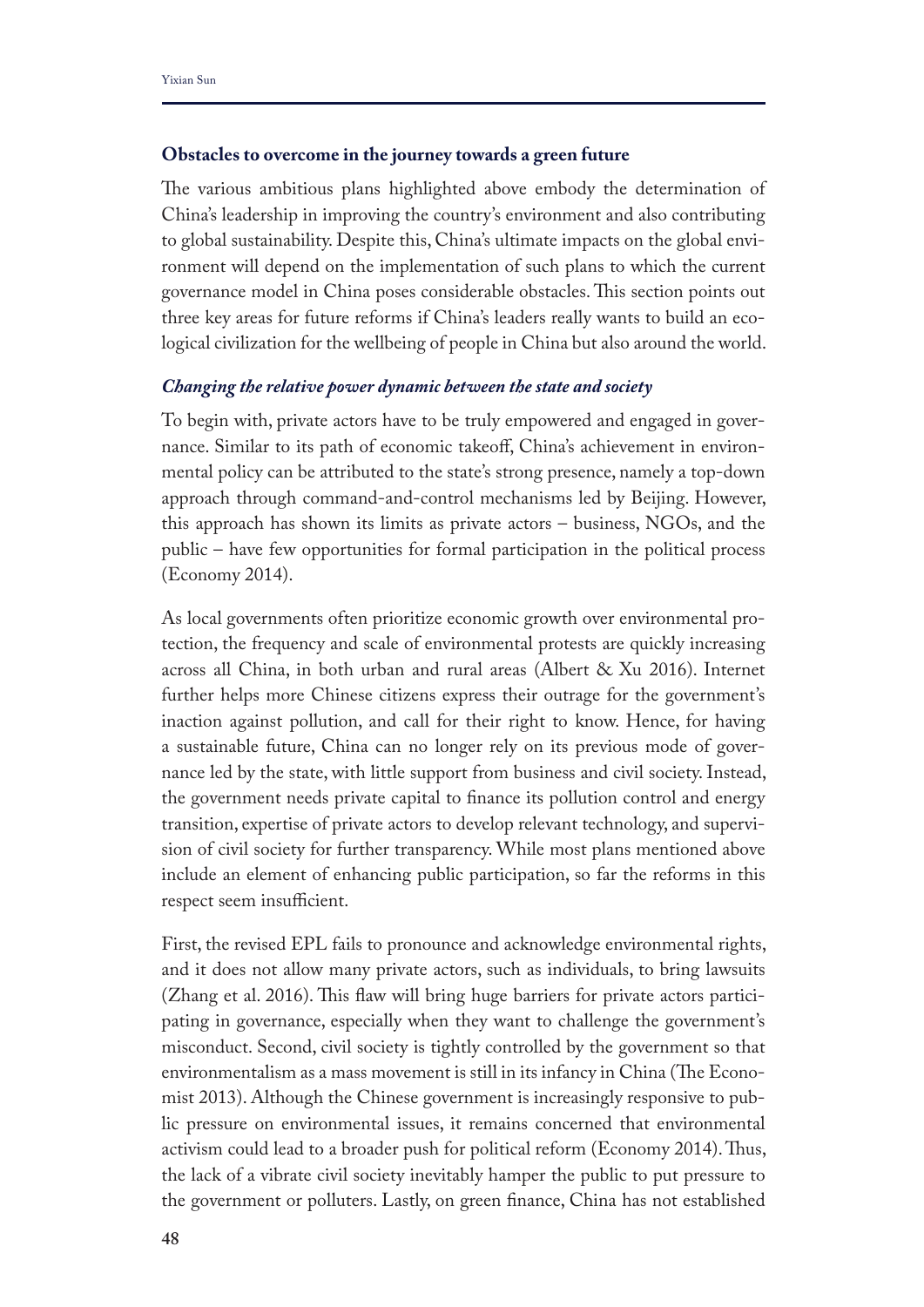#### **Obstacles to overcome in the journey towards a green future**

The various ambitious plans highlighted above embody the determination of China's leadership in improving the country's environment and also contributing to global sustainability. Despite this, China's ultimate impacts on the global environment will depend on the implementation of such plans to which the current governance model in China poses considerable obstacles. This section points out three key areas for future reforms if China's leaders really wants to build an ecological civilization for the wellbeing of people in China but also around the world.

#### *Changing the relative power dynamic between the state and society*

To begin with, private actors have to be truly empowered and engaged in governance. Similar to its path of economic takeof, China's achievement in environmental policy can be attributed to the state's strong presence, namely a top-down approach through command-and-control mechanisms led by Beijing. However, this approach has shown its limits as private actors – business, NGOs, and the public – have few opportunities for formal participation in the political process (Economy 2014).

As local governments often prioritize economic growth over environmental protection, the frequency and scale of environmental protests are quickly increasing across all China, in both urban and rural areas (Albert & Xu 2016). Internet further helps more Chinese citizens express their outrage for the government's inaction against pollution, and call for their right to know. Hence, for having a sustainable future, China can no longer rely on its previous mode of governance led by the state, with little support from business and civil society. Instead, the government needs private capital to fnance its pollution control and energy transition, expertise of private actors to develop relevant technology, and supervision of civil society for further transparency. While most plans mentioned above include an element of enhancing public participation, so far the reforms in this respect seem insufficient.

First, the revised EPL fails to pronounce and acknowledge environmental rights, and it does not allow many private actors, such as individuals, to bring lawsuits (Zhang et al. 2016). This flaw will bring huge barriers for private actors participating in governance, especially when they want to challenge the government's misconduct. Second, civil society is tightly controlled by the government so that environmentalism as a mass movement is still in its infancy in China (The Economist 2013). Although the Chinese government is increasingly responsive to public pressure on environmental issues, it remains concerned that environmental activism could lead to a broader push for political reform (Economy 2014). Tus, the lack of a vibrate civil society inevitably hamper the public to put pressure to the government or polluters. Lastly, on green fnance, China has not established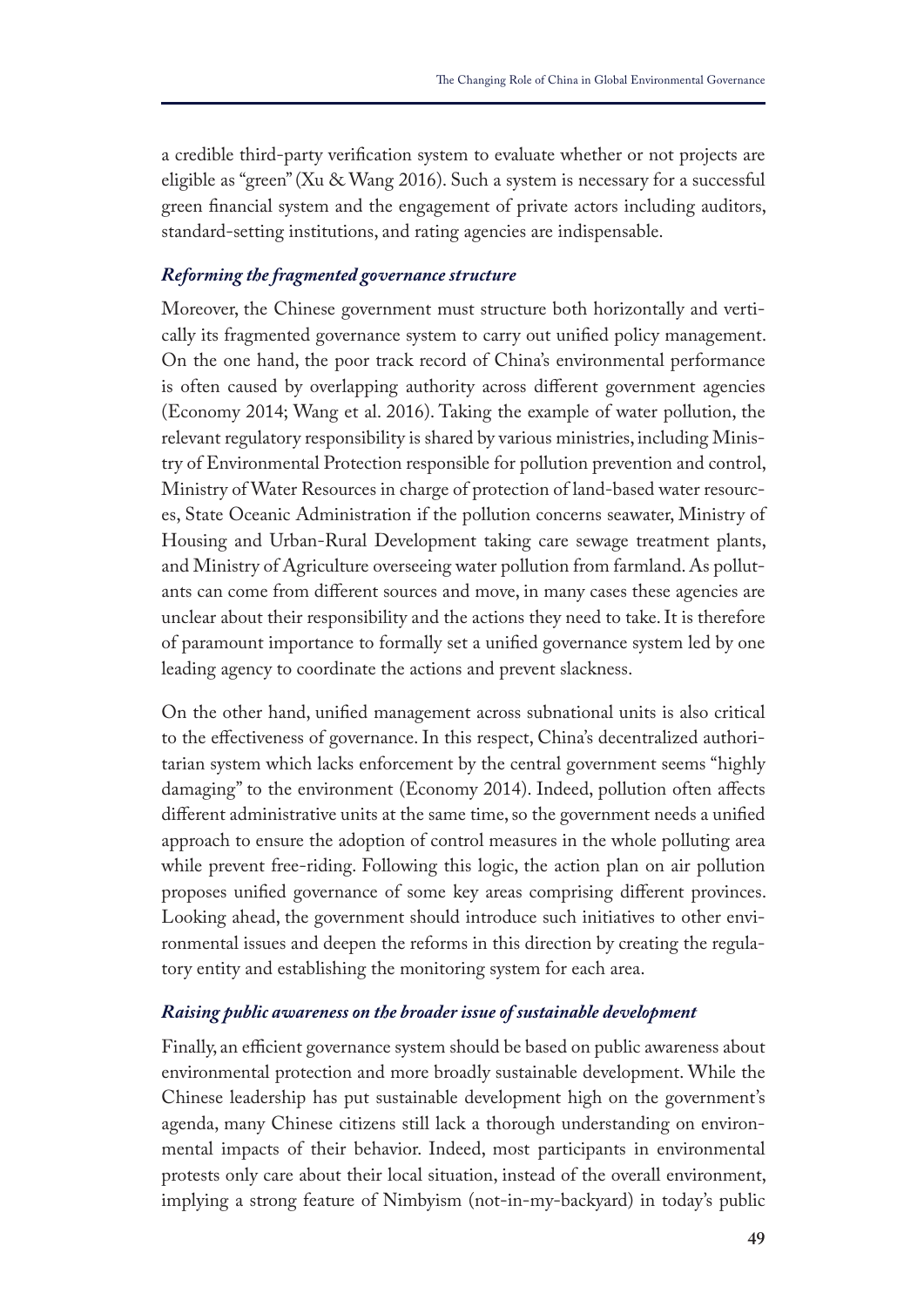a credible third-party verifcation system to evaluate whether or not projects are eligible as "green" (Xu & Wang 2016). Such a system is necessary for a successful green fnancial system and the engagement of private actors including auditors, standard-setting institutions, and rating agencies are indispensable.

## *Reforming the fragmented governance structure*

Moreover, the Chinese government must structure both horizontally and vertically its fragmented governance system to carry out unifed policy management. On the one hand, the poor track record of China's environmental performance is often caused by overlapping authority across diferent government agencies (Economy 2014; Wang et al. 2016). Taking the example of water pollution, the relevant regulatory responsibility is shared by various ministries, including Ministry of Environmental Protection responsible for pollution prevention and control, Ministry of Water Resources in charge of protection of land-based water resources, State Oceanic Administration if the pollution concerns seawater, Ministry of Housing and Urban-Rural Development taking care sewage treatment plants, and Ministry of Agriculture overseeing water pollution from farmland. As pollutants can come from diferent sources and move, in many cases these agencies are unclear about their responsibility and the actions they need to take. It is therefore of paramount importance to formally set a unifed governance system led by one leading agency to coordinate the actions and prevent slackness.

On the other hand, unifed management across subnational units is also critical to the efectiveness of governance. In this respect, China's decentralized authoritarian system which lacks enforcement by the central government seems "highly damaging" to the environment (Economy 2014). Indeed, pollution often affects diferent administrative units at the same time, so the government needs a unifed approach to ensure the adoption of control measures in the whole polluting area while prevent free-riding. Following this logic, the action plan on air pollution proposes unifed governance of some key areas comprising diferent provinces. Looking ahead, the government should introduce such initiatives to other environmental issues and deepen the reforms in this direction by creating the regulatory entity and establishing the monitoring system for each area.

#### *Raising public awareness on the broader issue of sustainable development*

Finally, an efficient governance system should be based on public awareness about environmental protection and more broadly sustainable development. While the Chinese leadership has put sustainable development high on the government's agenda, many Chinese citizens still lack a thorough understanding on environmental impacts of their behavior. Indeed, most participants in environmental protests only care about their local situation, instead of the overall environment, implying a strong feature of Nimbyism (not-in-my-backyard) in today's public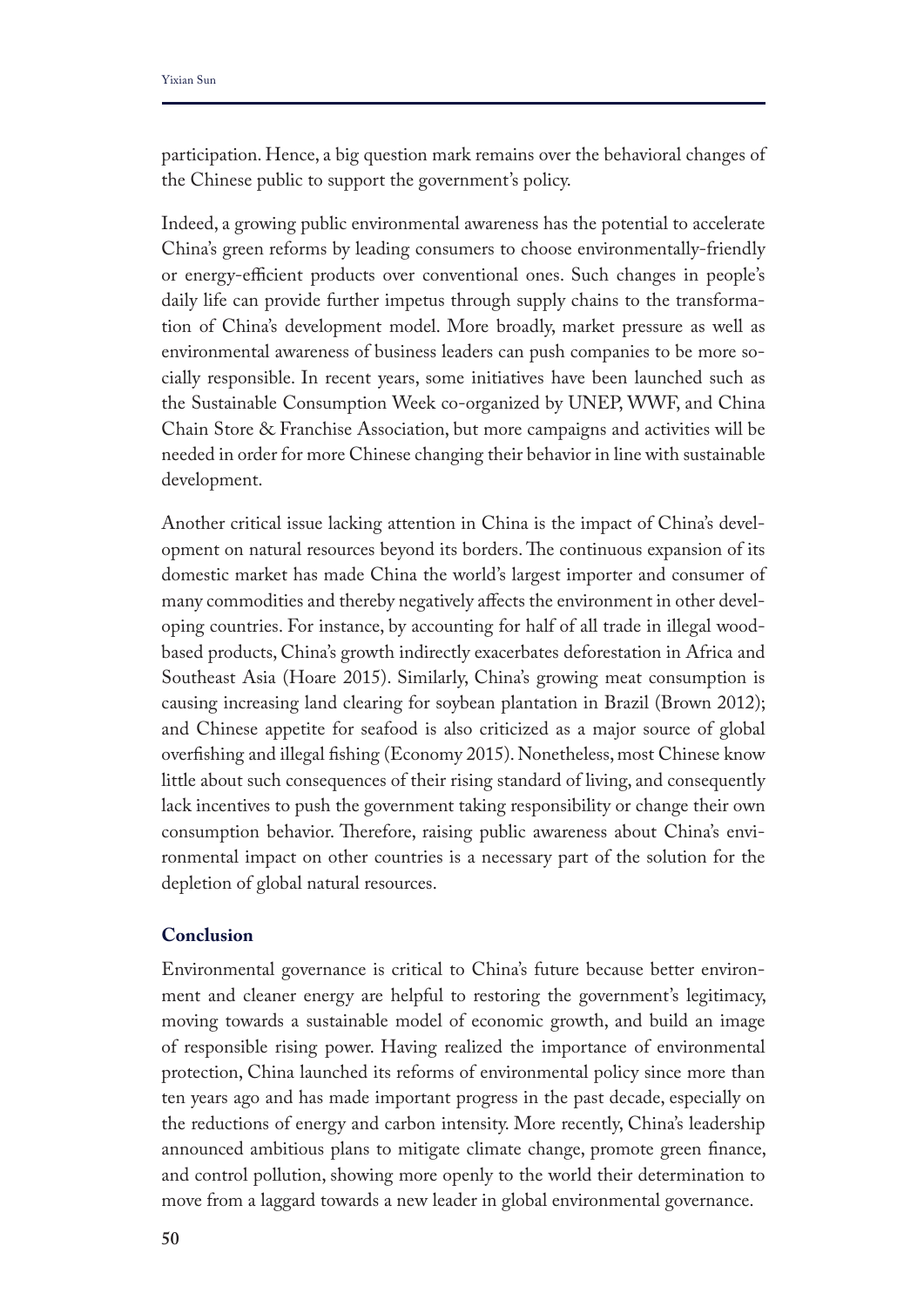participation. Hence, a big question mark remains over the behavioral changes of the Chinese public to support the government's policy.

Indeed, a growing public environmental awareness has the potential to accelerate China's green reforms by leading consumers to choose environmentally-friendly or energy-efficient products over conventional ones. Such changes in people's daily life can provide further impetus through supply chains to the transformation of China's development model. More broadly, market pressure as well as environmental awareness of business leaders can push companies to be more socially responsible. In recent years, some initiatives have been launched such as the Sustainable Consumption Week co-organized by UNEP, WWF, and China Chain Store & Franchise Association, but more campaigns and activities will be needed in order for more Chinese changing their behavior in line with sustainable development.

Another critical issue lacking attention in China is the impact of China's development on natural resources beyond its borders. The continuous expansion of its domestic market has made China the world's largest importer and consumer of many commodities and thereby negatively affects the environment in other developing countries. For instance, by accounting for half of all trade in illegal woodbased products, China's growth indirectly exacerbates deforestation in Africa and Southeast Asia (Hoare 2015). Similarly, China's growing meat consumption is causing increasing land clearing for soybean plantation in Brazil (Brown 2012); and Chinese appetite for seafood is also criticized as a major source of global overfshing and illegal fshing (Economy 2015). Nonetheless, most Chinese know little about such consequences of their rising standard of living, and consequently lack incentives to push the government taking responsibility or change their own consumption behavior. Therefore, raising public awareness about China's environmental impact on other countries is a necessary part of the solution for the depletion of global natural resources.

## **Conclusion**

Environmental governance is critical to China's future because better environment and cleaner energy are helpful to restoring the government's legitimacy, moving towards a sustainable model of economic growth, and build an image of responsible rising power. Having realized the importance of environmental protection, China launched its reforms of environmental policy since more than ten years ago and has made important progress in the past decade, especially on the reductions of energy and carbon intensity. More recently, China's leadership announced ambitious plans to mitigate climate change, promote green fnance, and control pollution, showing more openly to the world their determination to move from a laggard towards a new leader in global environmental governance.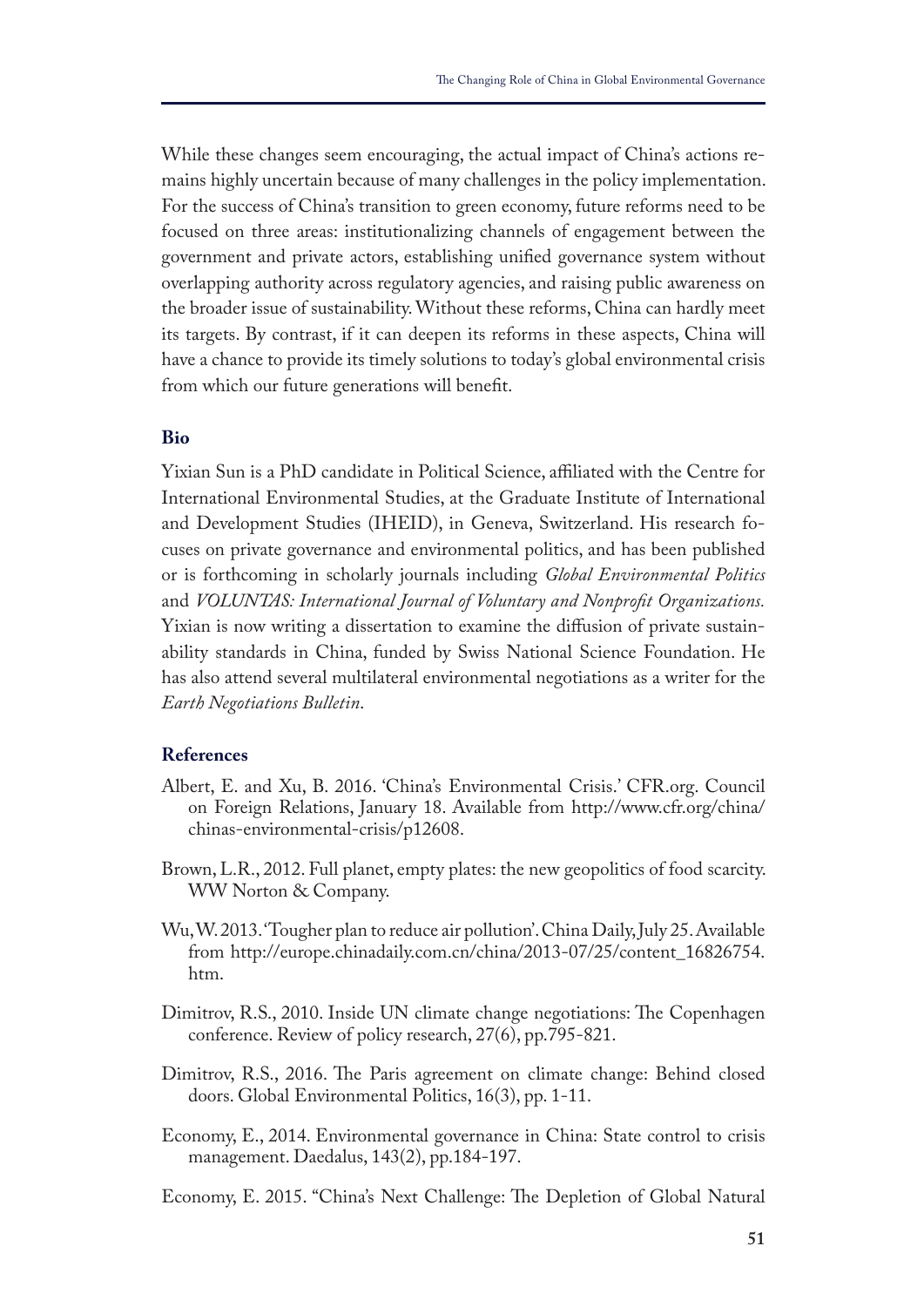While these changes seem encouraging, the actual impact of China's actions remains highly uncertain because of many challenges in the policy implementation. For the success of China's transition to green economy, future reforms need to be focused on three areas: institutionalizing channels of engagement between the government and private actors, establishing unifed governance system without overlapping authority across regulatory agencies, and raising public awareness on the broader issue of sustainability. Without these reforms, China can hardly meet its targets. By contrast, if it can deepen its reforms in these aspects, China will have a chance to provide its timely solutions to today's global environmental crisis from which our future generations will beneft.

## **Bio**

Yixian Sun is a PhD candidate in Political Science, afliated with the Centre for International Environmental Studies, at the Graduate Institute of International and Development Studies (IHEID), in Geneva, Switzerland. His research focuses on private governance and environmental politics, and has been published or is forthcoming in scholarly journals including *Global Environmental Politics*  and *VOLUNTAS: International Journal of Voluntary and Nonproft Organizations.* Yixian is now writing a dissertation to examine the difusion of private sustainability standards in China, funded by Swiss National Science Foundation. He has also attend several multilateral environmental negotiations as a writer for the *Earth Negotiations Bulletin*.

## **References**

- Albert, E. and Xu, B. 2016. 'China's Environmental Crisis.' CFR.org. Council on Foreign Relations, January 18. Available from http://www.cfr.org/china/ chinas-environmental-crisis/p12608.
- Brown, L.R., 2012. Full planet, empty plates: the new geopolitics of food scarcity. WW Norton & Company.
- Wu, W. 2013. 'Tougher plan to reduce air pollution'. China Daily, July 25. Available from http://europe.chinadaily.com.cn/china/2013-07/25/content\_16826754. htm.
- Dimitrov, R.S., 2010. Inside UN climate change negotiations: The Copenhagen conference. Review of policy research, 27(6), pp.795-821.
- Dimitrov, R.S., 2016. The Paris agreement on climate change: Behind closed doors. Global Environmental Politics, 16(3), pp. 1-11.
- Economy, E., 2014. Environmental governance in China: State control to crisis management. Daedalus, 143(2), pp.184-197.
- Economy, E. 2015. "China's Next Challenge: The Depletion of Global Natural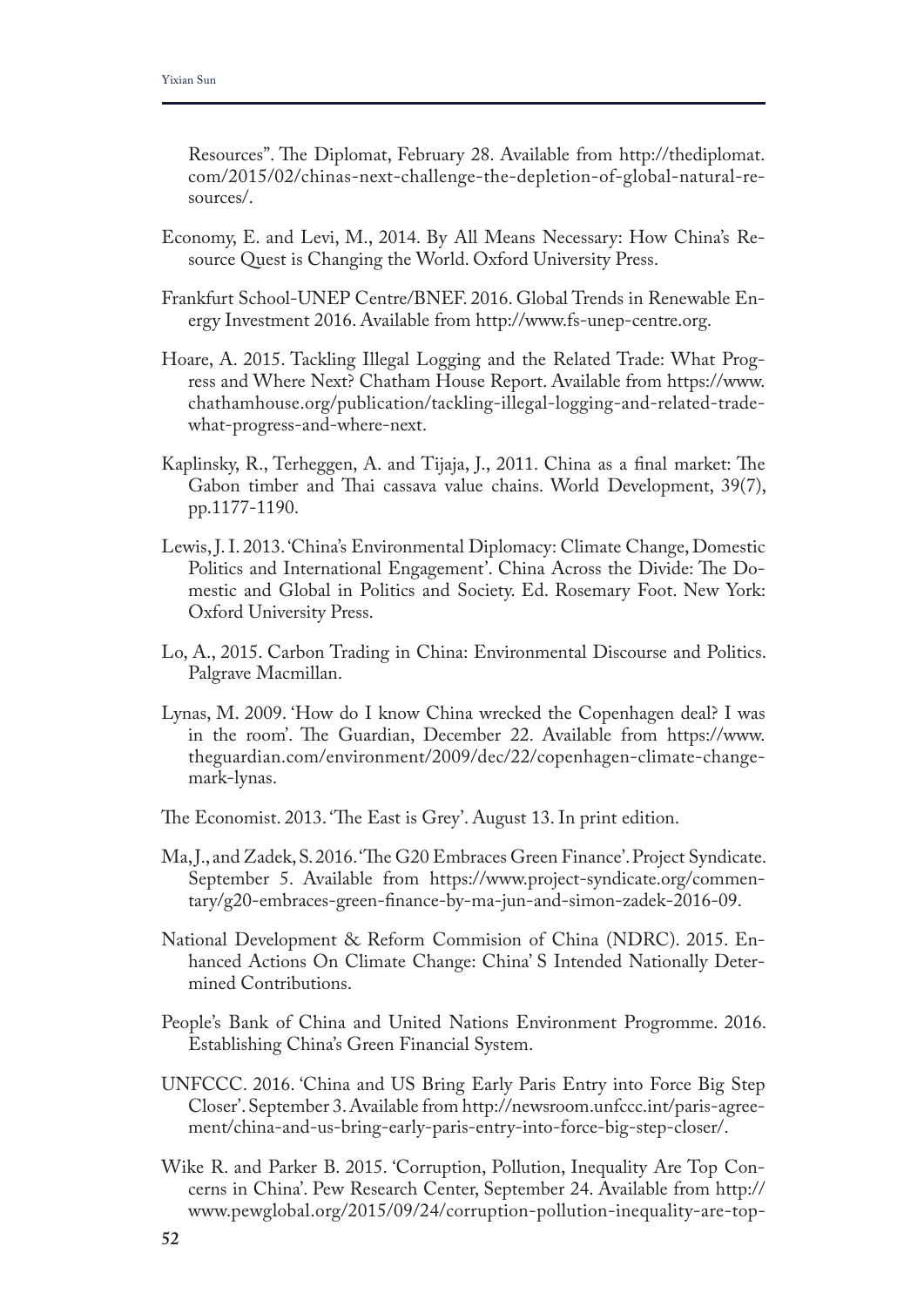Resources". The Diplomat, February 28. Available from http://thediplomat. com/2015/02/chinas-next-challenge-the-depletion-of-global-natural-resources/.

- Economy, E. and Levi, M., 2014. By All Means Necessary: How China's Resource Quest is Changing the World. Oxford University Press.
- Frankfurt School-UNEP Centre/BNEF. 2016. Global Trends in Renewable Energy Investment 2016. Available from http://www.fs-unep-centre.org.
- Hoare, A. 2015. Tackling Illegal Logging and the Related Trade: What Progress and Where Next? Chatham House Report. Available from https://www. chathamhouse.org/publication/tackling-illegal-logging-and-related-tradewhat-progress-and-where-next.
- Kaplinsky, R., Terheggen, A. and Tijaja, J., 2011. China as a final market: The Gabon timber and Thai cassava value chains. World Development, 39(7), pp.1177-1190.
- Lewis, J. I. 2013. 'China's Environmental Diplomacy: Climate Change, Domestic Politics and International Engagement'. China Across the Divide: The Domestic and Global in Politics and Society. Ed. Rosemary Foot. New York: Oxford University Press.
- Lo, A., 2015. Carbon Trading in China: Environmental Discourse and Politics. Palgrave Macmillan.
- Lynas, M. 2009. 'How do I know China wrecked the Copenhagen deal? I was in the room'. The Guardian, December 22. Available from https://www. theguardian.com/environment/2009/dec/22/copenhagen-climate-changemark-lynas.
- The Economist. 2013. 'The East is Grey'. August 13. In print edition.
- Ma, J., and Zadek, S. 2016. 'The G20 Embraces Green Finance'. Project Syndicate. September 5. Available from https://www.project-syndicate.org/commentary/g20-embraces-green-fnance-by-ma-jun-and-simon-zadek-2016-09.
- National Development & Reform Commision of China (NDRC). 2015. Enhanced Actions On Climate Change: China' S Intended Nationally Determined Contributions.
- People's Bank of China and United Nations Environment Progromme. 2016. Establishing China's Green Financial System.
- UNFCCC. 2016. 'China and US Bring Early Paris Entry into Force Big Step Closer'. September 3. Available from http://newsroom.unfccc.int/paris-agreement/china-and-us-bring-early-paris-entry-into-force-big-step-closer/.
- Wike R. and Parker B. 2015. 'Corruption, Pollution, Inequality Are Top Concerns in China'. Pew Research Center, September 24. Available from http:// www.pewglobal.org/2015/09/24/corruption-pollution-inequality-are-top-